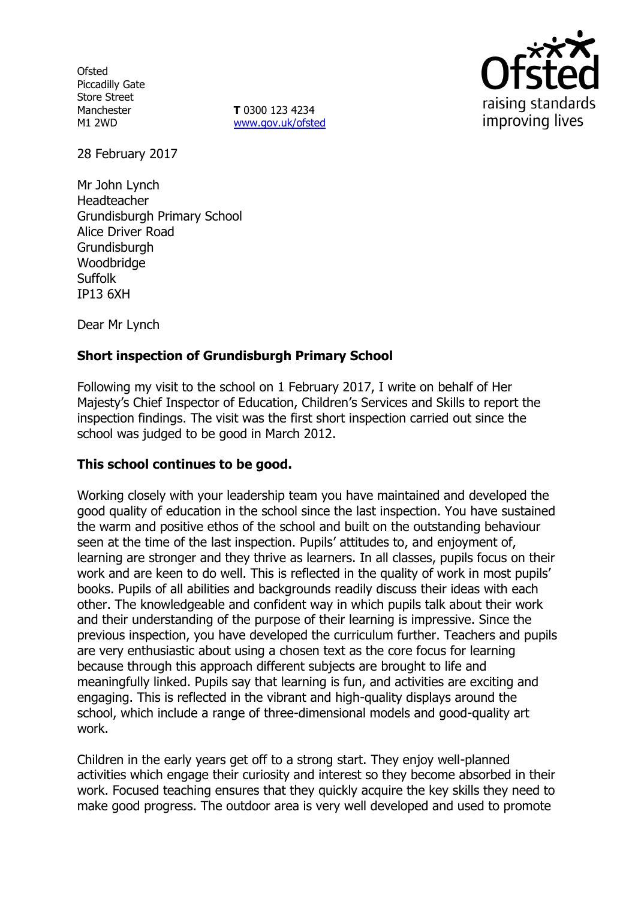**Ofsted** Piccadilly Gate Store Street Manchester M1 2WD

**T** 0300 123 4234 www.gov.uk/ofsted



28 February 2017

Mr John Lynch Headteacher Grundisburgh Primary School Alice Driver Road Grundisburgh Woodbridge Suffolk IP13 6XH

Dear Mr Lynch

# **Short inspection of Grundisburgh Primary School**

Following my visit to the school on 1 February 2017, I write on behalf of Her Majesty's Chief Inspector of Education, Children's Services and Skills to report the inspection findings. The visit was the first short inspection carried out since the school was judged to be good in March 2012.

## **This school continues to be good.**

Working closely with your leadership team you have maintained and developed the good quality of education in the school since the last inspection. You have sustained the warm and positive ethos of the school and built on the outstanding behaviour seen at the time of the last inspection. Pupils' attitudes to, and enjoyment of, learning are stronger and they thrive as learners. In all classes, pupils focus on their work and are keen to do well. This is reflected in the quality of work in most pupils' books. Pupils of all abilities and backgrounds readily discuss their ideas with each other. The knowledgeable and confident way in which pupils talk about their work and their understanding of the purpose of their learning is impressive. Since the previous inspection, you have developed the curriculum further. Teachers and pupils are very enthusiastic about using a chosen text as the core focus for learning because through this approach different subjects are brought to life and meaningfully linked. Pupils say that learning is fun, and activities are exciting and engaging. This is reflected in the vibrant and high-quality displays around the school, which include a range of three-dimensional models and good-quality art work.

Children in the early years get off to a strong start. They enjoy well-planned activities which engage their curiosity and interest so they become absorbed in their work. Focused teaching ensures that they quickly acquire the key skills they need to make good progress. The outdoor area is very well developed and used to promote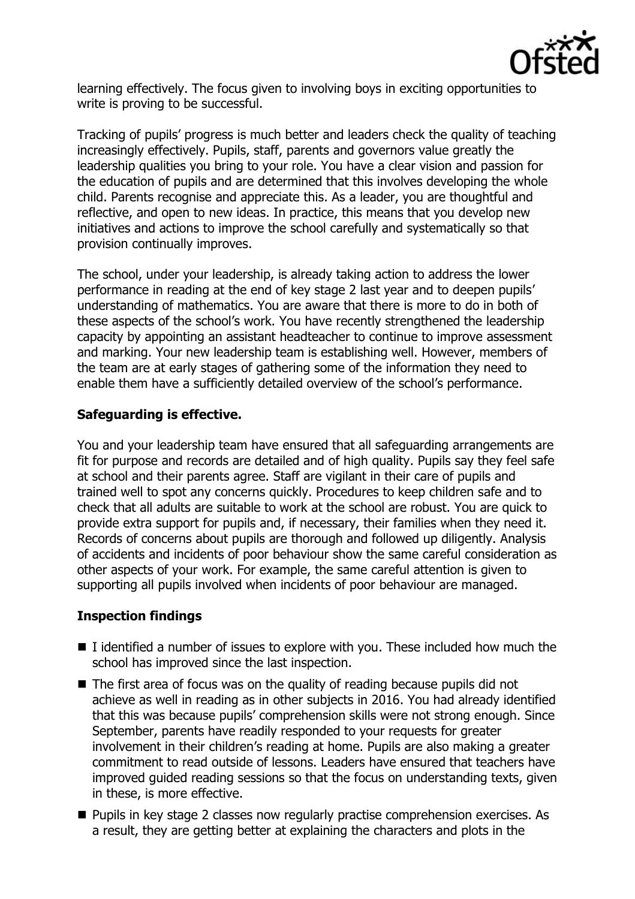

learning effectively. The focus given to involving boys in exciting opportunities to write is proving to be successful.

Tracking of pupils' progress is much better and leaders check the quality of teaching increasingly effectively. Pupils, staff, parents and governors value greatly the leadership qualities you bring to your role. You have a clear vision and passion for the education of pupils and are determined that this involves developing the whole child. Parents recognise and appreciate this. As a leader, you are thoughtful and reflective, and open to new ideas. In practice, this means that you develop new initiatives and actions to improve the school carefully and systematically so that provision continually improves.

The school, under your leadership, is already taking action to address the lower performance in reading at the end of key stage 2 last year and to deepen pupils' understanding of mathematics. You are aware that there is more to do in both of these aspects of the school's work. You have recently strengthened the leadership capacity by appointing an assistant headteacher to continue to improve assessment and marking. Your new leadership team is establishing well. However, members of the team are at early stages of gathering some of the information they need to enable them have a sufficiently detailed overview of the school's performance.

## **Safeguarding is effective.**

You and your leadership team have ensured that all safeguarding arrangements are fit for purpose and records are detailed and of high quality. Pupils say they feel safe at school and their parents agree. Staff are vigilant in their care of pupils and trained well to spot any concerns quickly. Procedures to keep children safe and to check that all adults are suitable to work at the school are robust. You are quick to provide extra support for pupils and, if necessary, their families when they need it. Records of concerns about pupils are thorough and followed up diligently. Analysis of accidents and incidents of poor behaviour show the same careful consideration as other aspects of your work. For example, the same careful attention is given to supporting all pupils involved when incidents of poor behaviour are managed.

## **Inspection findings**

- $\blacksquare$  I identified a number of issues to explore with you. These included how much the school has improved since the last inspection.
- The first area of focus was on the quality of reading because pupils did not achieve as well in reading as in other subjects in 2016. You had already identified that this was because pupils' comprehension skills were not strong enough. Since September, parents have readily responded to your requests for greater involvement in their children's reading at home. Pupils are also making a greater commitment to read outside of lessons. Leaders have ensured that teachers have improved guided reading sessions so that the focus on understanding texts, given in these, is more effective.
- **Pupils in key stage 2 classes now regularly practise comprehension exercises. As** a result, they are getting better at explaining the characters and plots in the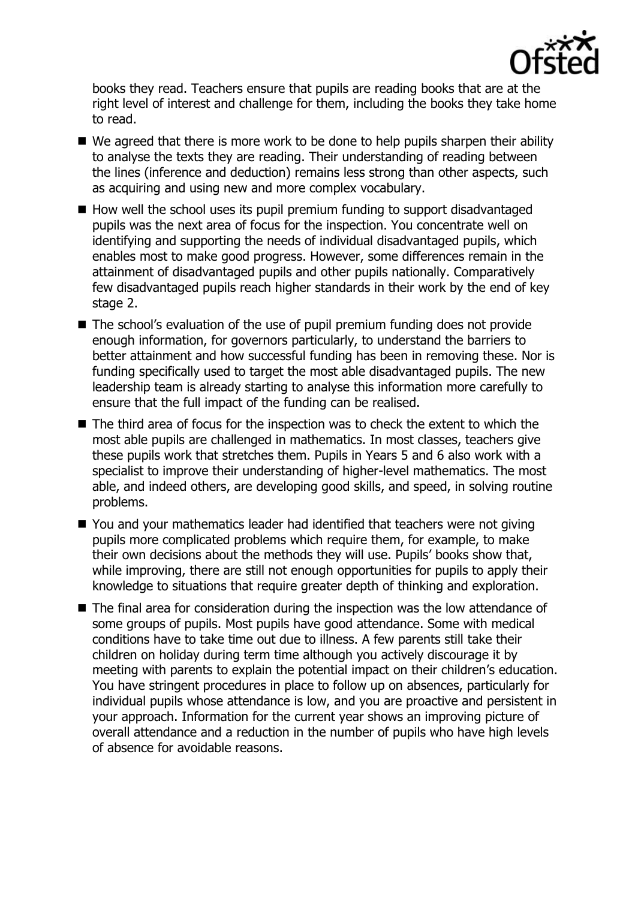

books they read. Teachers ensure that pupils are reading books that are at the right level of interest and challenge for them, including the books they take home to read.

- $\blacksquare$  We agreed that there is more work to be done to help pupils sharpen their ability to analyse the texts they are reading. Their understanding of reading between the lines (inference and deduction) remains less strong than other aspects, such as acquiring and using new and more complex vocabulary.
- $\blacksquare$  How well the school uses its pupil premium funding to support disadvantaged pupils was the next area of focus for the inspection. You concentrate well on identifying and supporting the needs of individual disadvantaged pupils, which enables most to make good progress. However, some differences remain in the attainment of disadvantaged pupils and other pupils nationally. Comparatively few disadvantaged pupils reach higher standards in their work by the end of key stage 2.
- The school's evaluation of the use of pupil premium funding does not provide enough information, for governors particularly, to understand the barriers to better attainment and how successful funding has been in removing these. Nor is funding specifically used to target the most able disadvantaged pupils. The new leadership team is already starting to analyse this information more carefully to ensure that the full impact of the funding can be realised.
- The third area of focus for the inspection was to check the extent to which the most able pupils are challenged in mathematics. In most classes, teachers give these pupils work that stretches them. Pupils in Years 5 and 6 also work with a specialist to improve their understanding of higher-level mathematics. The most able, and indeed others, are developing good skills, and speed, in solving routine problems.
- You and your mathematics leader had identified that teachers were not giving pupils more complicated problems which require them, for example, to make their own decisions about the methods they will use. Pupils' books show that, while improving, there are still not enough opportunities for pupils to apply their knowledge to situations that require greater depth of thinking and exploration.
- The final area for consideration during the inspection was the low attendance of some groups of pupils. Most pupils have good attendance. Some with medical conditions have to take time out due to illness. A few parents still take their children on holiday during term time although you actively discourage it by meeting with parents to explain the potential impact on their children's education. You have stringent procedures in place to follow up on absences, particularly for individual pupils whose attendance is low, and you are proactive and persistent in your approach. Information for the current year shows an improving picture of overall attendance and a reduction in the number of pupils who have high levels of absence for avoidable reasons.